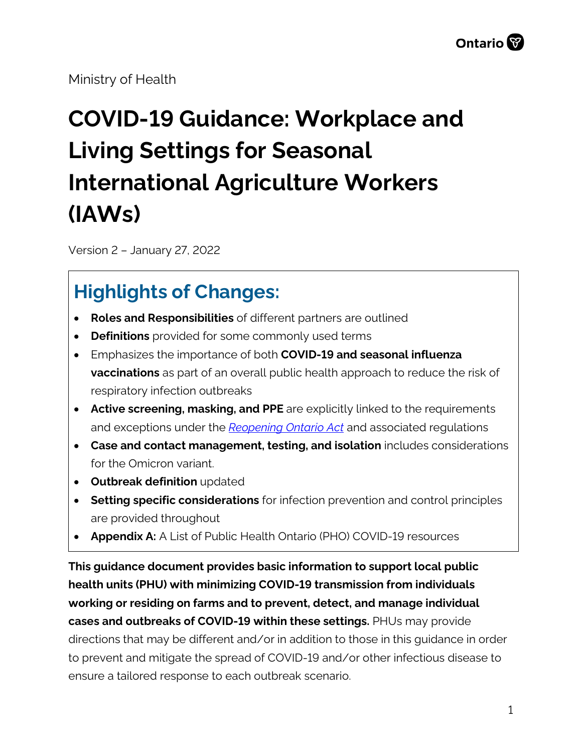Ministry of Health

# **COVID-19 Guidance: Workplace and Living Settings for Seasonal International Agriculture Workers (IAWs)**

Version 2 – January 27, 2022

# **Highlights of Changes:**

- **Roles and Responsibilities** of different partners are outlined
- **Definitions** provided for some commonly used terms
- Emphasizes the importance of both **COVID-19 and seasonal influenza vaccinations** as part of an overall public health approach to reduce the risk of respiratory infection outbreaks
- **Active screening, masking, and PPE** are explicitly linked to the requirements and exceptions under the *[Reopening Ontario Act](https://www.ontario.ca/laws/statute/20r17)* and associated regulations
- **Case and contact management, testing, and isolation** includes considerations for the Omicron variant.
- **Outbreak definition** updated
- **Setting specific considerations** for infection prevention and control principles are provided throughout
- **Appendix A:** A List of Public Health Ontario (PHO) COVID-19 resources

**This guidance document provides basic information to support local public health units (PHU) with minimizing COVID-19 transmission from individuals working or residing on farms and to prevent, detect, and manage individual cases and outbreaks of COVID-19 within these settings.** PHUs may provide directions that may be different and/or in addition to those in this guidance in order to prevent and mitigate the spread of COVID-19 and/or other infectious disease to ensure a tailored response to each outbreak scenario.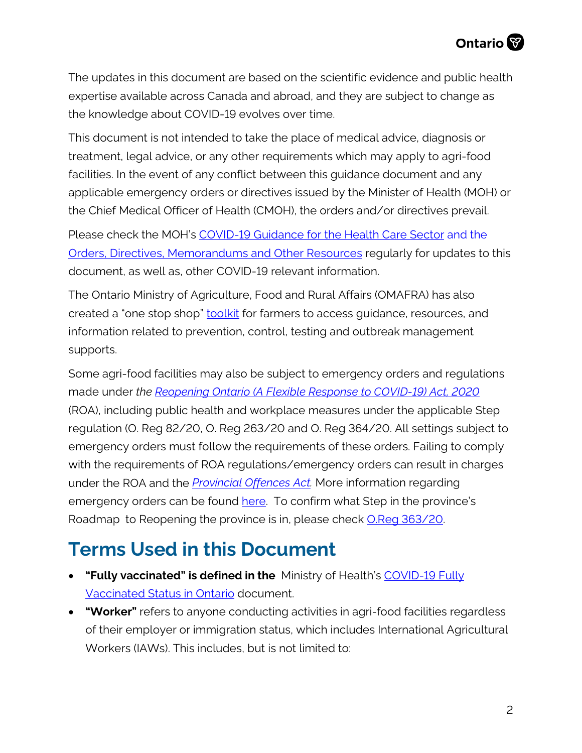The updates in this document are based on the scientific evidence and public health expertise available across Canada and abroad, and they are subject to change as the knowledge about COVID-19 evolves over time.

This document is not intended to take the place of medical advice, diagnosis or treatment, legal advice, or any other requirements which may apply to agri-food facilities. In the event of any conflict between this guidance document and any applicable emergency orders or directives issued by the Minister of Health (MOH) or the Chief Medical Officer of Health (CMOH), the orders and/or directives prevail.

Please check the MOH's [COVID-19 Guidance for the Health Care Sector](http://www.health.gov.on.ca/en/pro/programs/publichealth/coronavirus/2019_guidance.aspx) and the [Orders, Directives, Memorandums and Other Resources](http://www.health.gov.on.ca/en/pro/programs/publichealth/coronavirus/dir_mem_res.aspx) regularly for updates to this document, as well as, other COVID-19 relevant information.

The Ontario Ministry of Agriculture, Food and Rural Affairs (OMAFRA) has also created a "one stop shop" [toolkit](https://www.ontario.ca/page/covid-19-farmer-toolkit) for farmers to access guidance, resources, and information related to prevention, control, testing and outbreak management supports.

Some agri-food facilities may also be subject to emergency orders and regulations made under *the [Reopening Ontario \(A Flexible Response to COVID-19\) Act, 2020](https://www.ontario.ca/laws/statute/20r17)* (ROA), including public health and workplace measures under the applicable Step regulation (O. Reg 82/20, O. Reg 263/20 and O. Reg 364/20. All settings subject to emergency orders must follow the requirements of these orders. Failing to comply with the requirements of ROA regulations/emergency orders can result in charges under the ROA and the *[Provincial Offences Act.](https://www.ontario.ca/laws/statute/90p33)* More information regarding emergency orders can be found [here.](https://www.ontario.ca/page/emergency-information) To confirm what Step in the province's Roadmap to Reopening the province is in, please check [O.Reg 363/20.](https://www.ontario.ca/laws/regulation/200364)

# **Terms Used in this Document**

- **"Fully vaccinated" is defined in the** Ministry of Health's [COVID-19 Fully](https://www.health.gov.on.ca/en/pro/programs/publichealth/coronavirus/docs/vaccine/COVID-19_fully_vaccinated_status_ontario.pdf)  [Vaccinated Status in Ontario](https://www.health.gov.on.ca/en/pro/programs/publichealth/coronavirus/docs/vaccine/COVID-19_fully_vaccinated_status_ontario.pdf) document.
- **"Worker"** refers to anyone conducting activities in agri-food facilities regardless of their employer or immigration status, which includes International Agricultural Workers (IAWs). This includes, but is not limited to: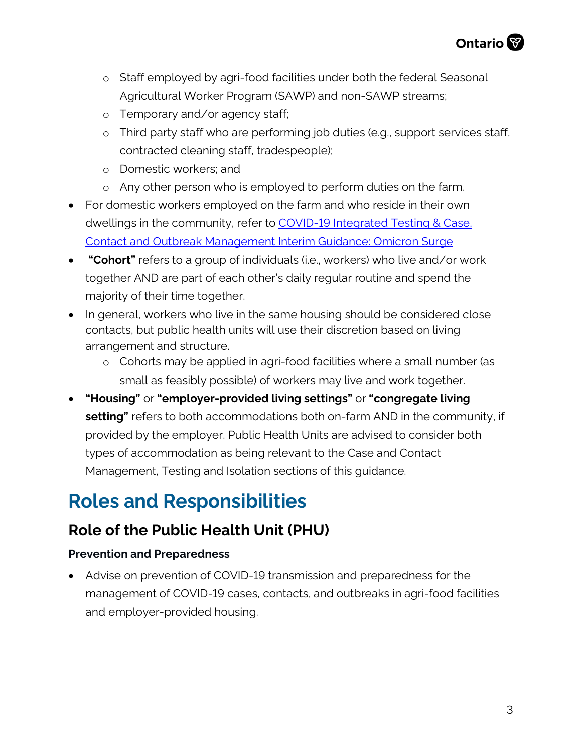

- o Staff employed by agri-food facilities under both the federal Seasonal Agricultural Worker Program (SAWP) and non-SAWP streams;
- o Temporary and/or agency staff;
- o Third party staff who are performing job duties (e.g., support services staff, contracted cleaning staff, tradespeople);
- o Domestic workers; and
- o Any other person who is employed to perform duties on the farm.
- For domestic workers employed on the farm and who reside in their own dwellings in the community, refer to COVID-19 Integrated Testing & Case. [Contact and Outbreak Management Interim Guidance: Omicron Surge](https://www.health.gov.on.ca/en/pro/programs/publichealth/coronavirus/docs/contact_mngmt/management_cases_contacts_omicron.pdf)
- **"Cohort"** refers to a group of individuals (i.e., workers) who live and/or work together AND are part of each other's daily regular routine and spend the majority of their time together.
- In general, workers who live in the same housing should be considered close contacts, but public health units will use their discretion based on living arrangement and structure.
	- o Cohorts may be applied in agri-food facilities where a small number (as small as feasibly possible) of workers may live and work together.
- **"Housing"** or **"employer-provided living settings"** or **"congregate living setting"** refers to both accommodations both on-farm AND in the community, if provided by the employer. Public Health Units are advised to consider both types of accommodation as being relevant to the Case and Contact Management, Testing and Isolation sections of this guidance.

# **Roles and Responsibilities**

#### **Role of the Public Health Unit (PHU)**

#### **Prevention and Preparedness**

• Advise on prevention of COVID-19 transmission and preparedness for the management of COVID-19 cases, contacts, and outbreaks in agri-food facilities and employer-provided housing.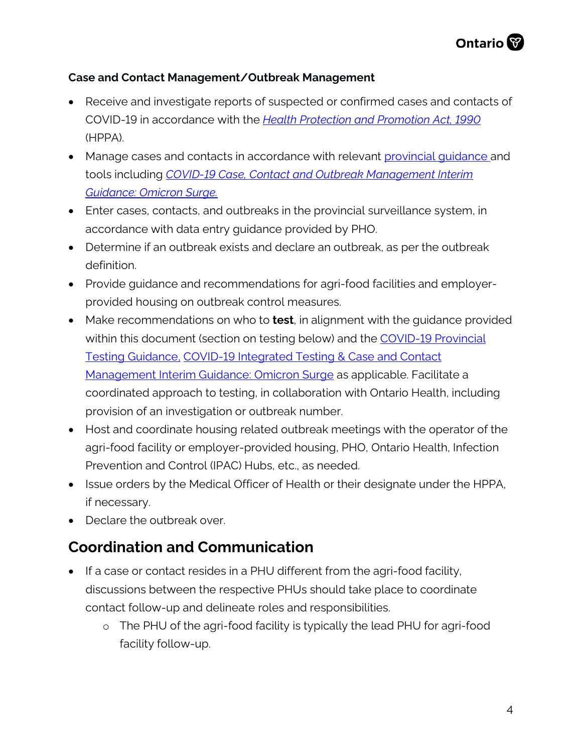#### **Case and Contact Management/Outbreak Management**

- Receive and investigate reports of suspected or confirmed cases and contacts of COVID-19 in accordance with the *[Health Protection and Promotion Act, 1990](https://www.ontario.ca/laws/statute/90h07)* (HPPA).
- Manage cases and contacts in accordance with relevant [provincial guidance](https://www.health.gov.on.ca/en/pro/programs/publichealth/coronavirus/2019_guidance.aspx) and tools including *[COVID-19 Case, Contact and Outbreak Management Interim](https://www.health.gov.on.ca/en/pro/programs/publichealth/coronavirus/docs/contact_mngmt/management_cases_contacts_omicron.pdf)  [Guidance: Omicron Surge.](https://www.health.gov.on.ca/en/pro/programs/publichealth/coronavirus/docs/contact_mngmt/management_cases_contacts_omicron.pdf)*
- Enter cases, contacts, and outbreaks in the provincial surveillance system, in accordance with data entry guidance provided by PHO.
- Determine if an outbreak exists and declare an outbreak, as per the outbreak definition.
- Provide guidance and recommendations for agri-food facilities and employerprovided housing on outbreak control measures.
- Make recommendations on who to **test**, in alignment with the guidance provided within this document (section on testing below) and the COVID-19 Provincial [Testing Guidance,](https://www.health.gov.on.ca/en/pro/programs/publichealth/coronavirus/docs/2019_testing_guidance.pdf) [COVID-19 Integrated Testing & Case and Contact](https://www.health.gov.on.ca/en/pro/programs/publichealth/coronavirus/docs/contact_mngmt/management_cases_contacts_omicron.pdf)  [Management Interim Guidance: Omicron Surge](https://www.health.gov.on.ca/en/pro/programs/publichealth/coronavirus/docs/contact_mngmt/management_cases_contacts_omicron.pdf) as applicable. Facilitate a coordinated approach to testing, in collaboration with Ontario Health, including provision of an investigation or outbreak number.
- Host and coordinate housing related outbreak meetings with the operator of the agri-food facility or employer-provided housing, PHO, Ontario Health, Infection Prevention and Control (IPAC) Hubs, etc., as needed.
- Issue orders by the Medical Officer of Health or their designate under the HPPA, if necessary.
- Declare the outbreak over.

#### **Coordination and Communication**

- If a case or contact resides in a PHU different from the agri-food facility, discussions between the respective PHUs should take place to coordinate contact follow-up and delineate roles and responsibilities.
	- o The PHU of the agri-food facility is typically the lead PHU for agri-food facility follow-up.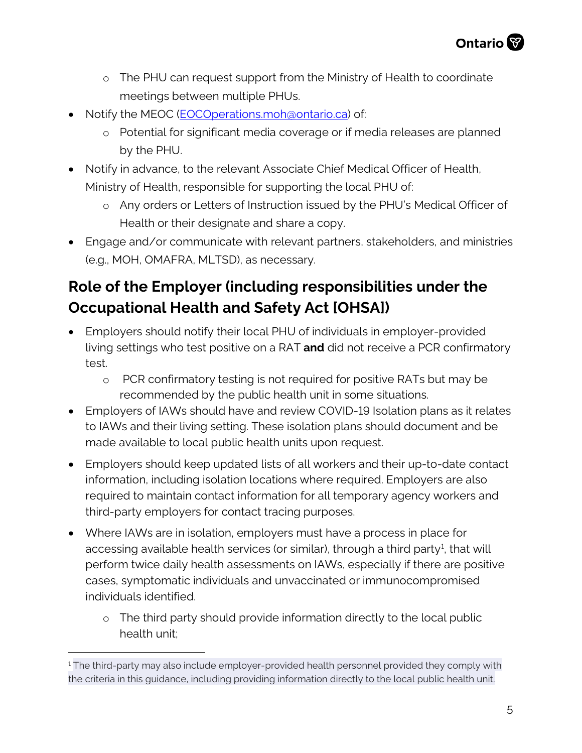- o The PHU can request support from the Ministry of Health to coordinate meetings between multiple PHUs.
- Notify the MEOC (*EOCOperations.moh@ontario.ca*) of:
	- o Potential for significant media coverage or if media releases are planned by the PHU.
- Notify in advance, to the relevant Associate Chief Medical Officer of Health, Ministry of Health, responsible for supporting the local PHU of:
	- o Any orders or Letters of Instruction issued by the PHU's Medical Officer of Health or their designate and share a copy.
- Engage and/or communicate with relevant partners, stakeholders, and ministries (e.g., MOH, OMAFRA, MLTSD), as necessary.

# **Role of the Employer (including responsibilities under the Occupational Health and Safety Act [OHSA])**

- Employers should notify their local PHU of individuals in employer-provided living settings who test positive on a RAT **and** did not receive a PCR confirmatory test.
	- o PCR confirmatory testing is not required for positive RATs but may be recommended by the public health unit in some situations.
- Employers of IAWs should have and review COVID-19 Isolation plans as it relates to IAWs and their living setting. These isolation plans should document and be made available to local public health units upon request.
- Employers should keep updated lists of all workers and their up-to-date contact information, including isolation locations where required. Employers are also required to maintain contact information for all temporary agency workers and third-party employers for contact tracing purposes.
- Where IAWs are in isolation, employers must have a process in place for accessing available health services (or similar), through a third party<sup>[1](#page-4-0)</sup>, that will perform twice daily health assessments on IAWs, especially if there are positive cases, symptomatic individuals and unvaccinated or immunocompromised individuals identified.
	- o The third party should provide information directly to the local public health unit;

<span id="page-4-0"></span><sup>&</sup>lt;sup>1</sup> The third-party may also include employer-provided health personnel provided they comply with the criteria in this guidance, including providing information directly to the local public health unit.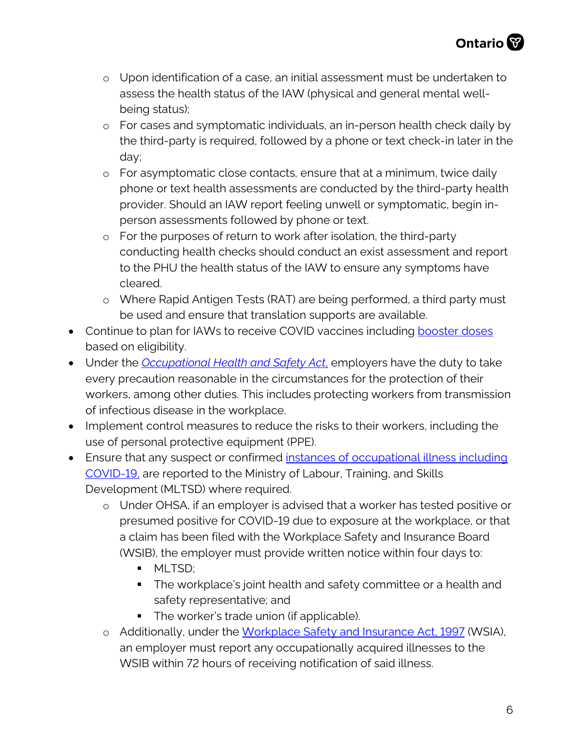- o Upon identification of a case, an initial assessment must be undertaken to assess the health status of the IAW (physical and general mental wellbeing status);
- o For cases and symptomatic individuals, an in-person health check daily by the third-party is required, followed by a phone or text check-in later in the day;
- o For asymptomatic close contacts, ensure that at a minimum, twice daily phone or text health assessments are conducted by the third-party health provider. Should an IAW report feeling unwell or symptomatic, begin inperson assessments followed by phone or text.
- o For the purposes of return to work after isolation, the third-party conducting health checks should conduct an exist assessment and report to the PHU the health status of the IAW to ensure any symptoms have cleared.
- o Where Rapid Antigen Tests (RAT) are being performed, a third party must be used and ensure that translation supports are available.
- Continue to plan for IAWs to receive COVID vaccines including [booster doses](https://www.health.gov.on.ca/en/pro/programs/publichealth/coronavirus/docs/vaccine/COVID-19_vaccine_third_dose_recommendations.pdf) based on eligibility.
- Under the *[Occupational Health and Safety Act](https://www.ontario.ca/laws/statute/90o01?_ga=2.261143885.1197634669.1587061765-1497916968.1587061765)*, employers have the duty to take every precaution reasonable in the circumstances for the protection of their workers, among other duties. This includes protecting workers from transmission of infectious disease in the workplace.
- Implement control measures to reduce the risks to their workers, including the use of personal protective equipment (PPE).
- Ensure that any suspect or confirmed [instances of occupational illness](https://www.ontario.ca/page/reporting-workplace-incidents-and-illnesses) including [COVID-19,](https://www.ontario.ca/page/reporting-workplace-incidents-and-illnesses) are reported to the Ministry of Labour, Training, and Skills Development (MLTSD) where required.
	- o Under OHSA, if an employer is advised that a worker has tested positive or presumed positive for COVID-19 due to exposure at the workplace, or that a claim has been filed with the Workplace Safety and Insurance Board (WSIB), the employer must provide written notice within four days to:
		- **MLTSD;**
		- **The workplace's joint health and safety committee or a health and** safety representative; and
		- The worker's trade union (if applicable).
	- o Additionally, under the [Workplace Safety and Insurance Act, 1997](https://www.ontario.ca/laws/statute/97w16#BK23) (WSIA), an employer must report any occupationally acquired illnesses to the WSIB within 72 hours of receiving notification of said illness.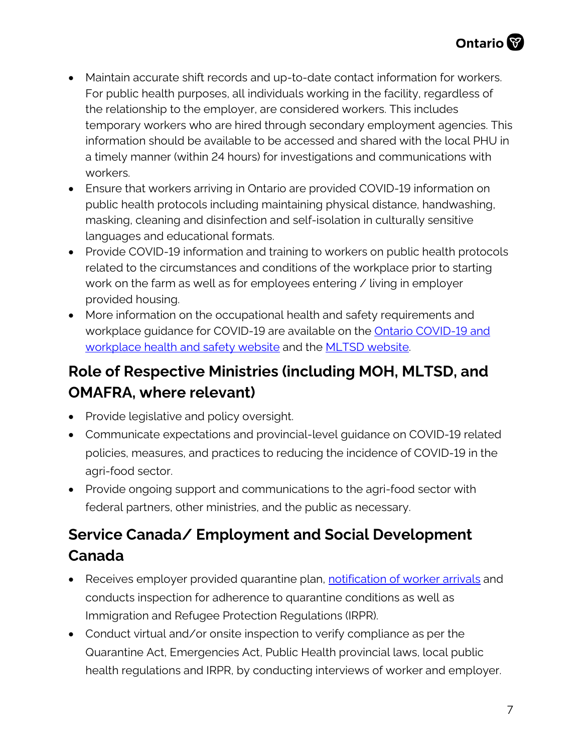- Maintain accurate shift records and up-to-date contact information for workers. For public health purposes, all individuals working in the facility, regardless of the relationship to the employer, are considered workers. This includes temporary workers who are hired through secondary employment agencies. This information should be available to be accessed and shared with the local PHU in a timely manner (within 24 hours) for investigations and communications with workers.
- Ensure that workers arriving in Ontario are provided COVID-19 information on public health protocols including maintaining physical distance, handwashing, masking, cleaning and disinfection and self-isolation in culturally sensitive languages and educational formats.
- Provide COVID-19 information and training to workers on public health protocols related to the circumstances and conditions of the workplace prior to starting work on the farm as well as for employees entering / living in employer provided housing.
- More information on the occupational health and safety requirements and workplace guidance for COVID-19 are available on the [Ontario COVID-19 and](https://www.ontario.ca/page/covid-19-workplace-health-safety)  [workplace health and safety website](https://www.ontario.ca/page/covid-19-workplace-health-safety) and the [MLTSD website.](https://www.ontario.ca/page/covid-19-workplace-health-safety)

## **Role of Respective Ministries (including MOH, MLTSD, and OMAFRA, where relevant)**

- Provide legislative and policy oversight.
- Communicate expectations and provincial-level guidance on COVID-19 related policies, measures, and practices to reducing the incidence of COVID-19 in the agri-food sector.
- Provide ongoing support and communications to the agri-food sector with federal partners, other ministries, and the public as necessary.

# **Service Canada/ Employment and Social Development Canada**

- Receives employer provided quarantine plan, notification of [worker arrivals](mailto:esdc.isb.quarantine-quarantaine.dgsi.edsc@servicecanada.gc.ca) and conducts inspection for adherence to quarantine conditions as well as Immigration and Refugee Protection Regulations (IRPR).
- Conduct virtual and/or onsite inspection to verify compliance as per the Quarantine Act, Emergencies Act, Public Health provincial laws, local public health regulations and IRPR, by conducting interviews of worker and employer.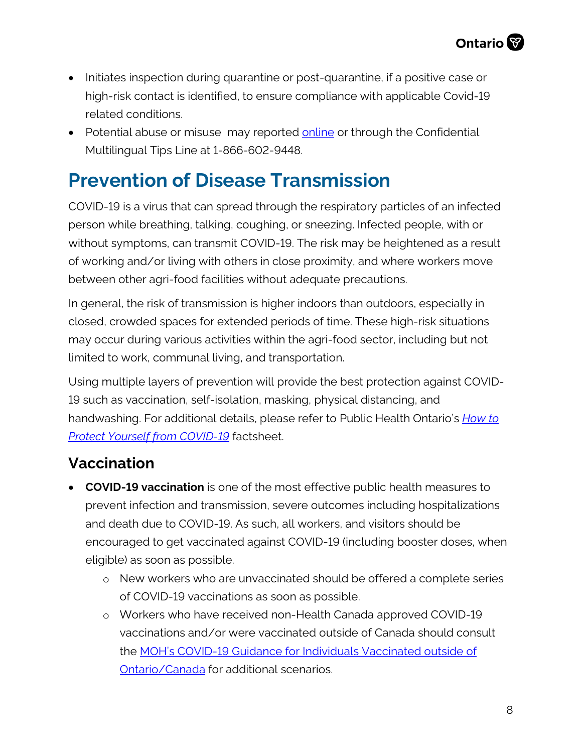- Initiates inspection during quarantine or post-quarantine, if a positive case or high-risk contact is identified, to ensure compliance with applicable Covid-19 related conditions.
- Potential abuse or misuse may reported [online](https://www.canada.ca/en/employment-social-development/services/foreign-workers/report-abuse.html) or through the Confidential Multilingual Tips Line at 1-866-602-9448.

# **Prevention of Disease Transmission**

COVID-19 is a virus that can spread through the respiratory particles of an infected person while breathing, talking, coughing, or sneezing. Infected people, with or without symptoms, can transmit COVID-19. The risk may be heightened as a result of working and/or living with others in close proximity, and where workers move between other agri-food facilities without adequate precautions.

In general, the risk of transmission is higher indoors than outdoors, especially in closed, crowded spaces for extended periods of time. These high-risk situations may occur during various activities within the agri-food sector, including but not limited to work, communal living, and transportation.

Using multiple layers of prevention will provide the best protection against COVID-19 such as vaccination, self-isolation, masking, physical distancing, and handwashing. For additional details, please refer to Public Health Ontario's *[How to](https://www.publichealthontario.ca/-/media/documents/ncov/factsheet/2021/06/lp/fact-sheet-covid-19-preventive-layers.pdf?la=en&sc_lang=en)  [Protect Yourself from COVID-19](https://www.publichealthontario.ca/-/media/documents/ncov/factsheet/2021/06/lp/fact-sheet-covid-19-preventive-layers.pdf?la=en&sc_lang=en)* factsheet.

## **Vaccination**

- **COVID-19 vaccination** is one of the most effective public health measures to prevent infection and transmission, severe outcomes including hospitalizations and death due to COVID-19. As such, all workers, and visitors should be encouraged to get vaccinated against COVID-19 (including booster doses, when eligible) as soon as possible.
	- o New workers who are unvaccinated should be offered a complete series of COVID-19 vaccinations as soon as possible.
	- o Workers who have received non-Health Canada approved COVID-19 vaccinations and/or were vaccinated outside of Canada should consult the [MOH's COVID-19 Guidance for Individuals Vaccinated outside of](https://www.health.gov.on.ca/en/pro/programs/publichealth/coronavirus/docs/vaccine/COVID-19_guidance_for_individuals_vaccinated_outside_of_ontario.pdf/)  [Ontario/Canada](https://www.health.gov.on.ca/en/pro/programs/publichealth/coronavirus/docs/vaccine/COVID-19_guidance_for_individuals_vaccinated_outside_of_ontario.pdf/) for additional scenarios.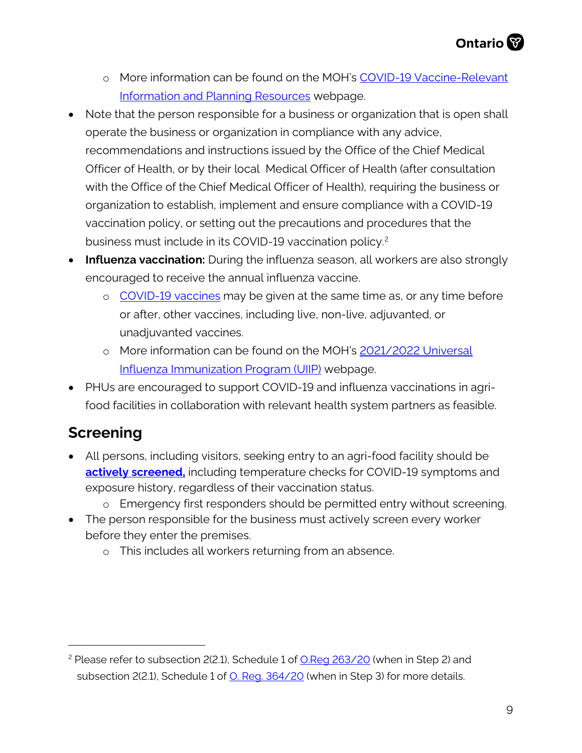- o More information can be found on the MOH's COVID-19 Vaccine-Relevant [Information and Planning Resources](https://www.health.gov.on.ca/en/pro/programs/publichealth/coronavirus/covid19_vaccine.aspx) webpage.
- Note that the person responsible for a business or organization that is open shall operate the business or organization in compliance with any advice, recommendations and instructions issued by the Office of the Chief Medical Officer of Health, or by their local Medical Officer of Health (after consultation with the Office of the Chief Medical Officer of Health), requiring the business or organization to establish, implement and ensure compliance with a COVID-19 vaccination policy, or setting out the precautions and procedures that the business must include in its COVID-19 vaccination policy.<sup>2</sup>
- **Influenza vaccination:** During the influenza season, all workers are also strongly encouraged to receive the annual influenza vaccine.
	- o [COVID-19 vaccines](https://www.canada.ca/en/public-health/services/immunization/national-advisory-committee-on-immunization-naci/recommendations-use-covid-19-vaccines/summary-updates-september-28-2021.html) may be given at the same time as, or any time before or after, other vaccines, including live, non-live, adjuvanted, or unadjuvanted vaccines.
	- o More information can be found on the MOH's [2021/2022 Universal](https://www.health.gov.on.ca/en/pro/programs/publichealth/flu/uiip/)  [Influenza Immunization Program \(UIIP\)](https://www.health.gov.on.ca/en/pro/programs/publichealth/flu/uiip/) webpage.
- PHUs are encouraged to support COVID-19 and influenza vaccinations in agrifood facilities in collaboration with relevant health system partners as feasible.

## **Screening**

- All persons, including visitors, seeking entry to an agri-food facility should be **[actively](https://www.ontario.ca/page/screening-covid-19-guidance-employers) screened,** including temperature checks for COVID-19 symptoms and exposure history, regardless of their vaccination status.
	- o Emergency first responders should be permitted entry without screening.
- The person responsible for the business must actively screen every worker before they enter the premises.
	- o This includes all workers returning from an absence.

<span id="page-8-0"></span><sup>2</sup> Please refer to subsection 2(2.1), Schedule 1 of [O.Reg 263/20](https://www.ontario.ca/laws/regulation/200263) (when in Step 2) and subsection 2(2.1), Schedule 1 of [O. Reg. 364/20](https://www.ontario.ca/laws/regulation/200364) (when in Step 3) for more details.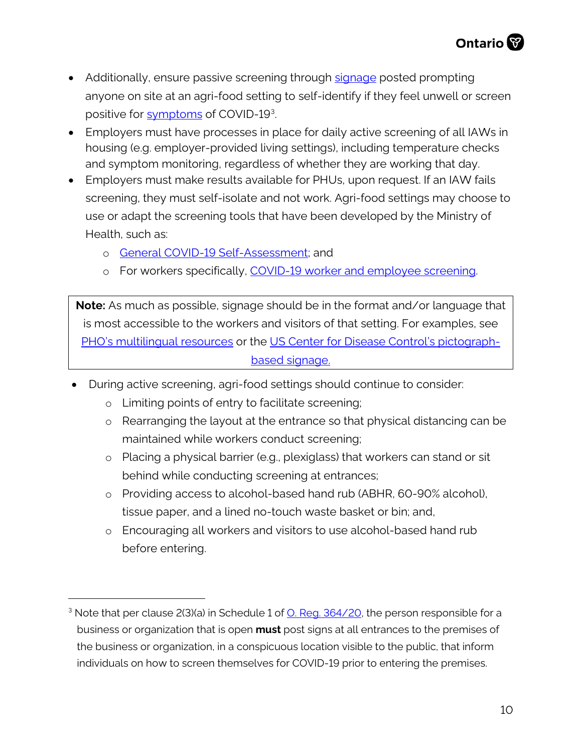- Additionally, ensure passive screening through [signage](http://www.health.gov.on.ca/en/pro/programs/publichealth/coronavirus/2019_guidance.aspx) posted prompting anyone on site at an agri-food setting to self-identify if they feel unwell or screen positive for [symptoms](http://www.health.gov.on.ca/en/pro/programs/publichealth/coronavirus/docs/2019_reference_doc_symptoms.pdf) of COVID-19<sup>[3](#page-9-0)</sup>.
- Employers must have processes in place for daily active screening of all IAWs in housing (e.g. employer-provided living settings), including temperature checks and symptom monitoring, regardless of whether they are working that day.
- Employers must make results available for PHUs, upon request. If an IAW fails screening, they must self-isolate and not work. Agri-food settings may choose to use or adapt the screening tools that have been developed by the Ministry of Health, such as:
	- o [General COVID-19 Self-Assessment;](https://covid-19.ontario.ca/self-assessment/) and
	- o For workers specifically, [COVID-19 worker and employee screening.](https://covid-19.ontario.ca/screening/worker/)

**Note:** As much as possible, signage should be in the format and/or language that is most accessible to the workers and visitors of that setting. For examples, see [PHO's multilingual resources](https://www.publichealthontario.ca/en/diseases-and-conditions/infectious-diseases/respiratory-diseases/novel-coronavirus/public-resources) or the [US Center for Disease Control's pictograph](https://www.cdc.gov/coronavirus/2019-ncov/downloads/COVID19-symptoms.pdf)[based signage.](https://www.cdc.gov/coronavirus/2019-ncov/downloads/COVID19-symptoms.pdf)

- During active screening, agri-food settings should continue to consider:
	- o Limiting points of entry to facilitate screening;
	- o Rearranging the layout at the entrance so that physical distancing can be maintained while workers conduct screening;
	- o Placing a physical barrier (e.g., plexiglass) that workers can stand or sit behind while conducting screening at entrances;
	- o Providing access to alcohol-based hand rub (ABHR, 60-90% alcohol), tissue paper, and a lined no-touch waste basket or bin; and,
	- o Encouraging all workers and visitors to use alcohol-based hand rub before entering.

<span id="page-9-0"></span><sup>&</sup>lt;sup>3</sup> Note that per clause 2(3)(a) in Schedule 1 of [O. Reg. 364/20,](https://www.ontario.ca/laws/regulation/200364#BK7) the person responsible for a business or organization that is open **must** post signs at all entrances to the premises of the business or organization, in a conspicuous location visible to the public, that inform individuals on how to screen themselves for COVID-19 prior to entering the premises.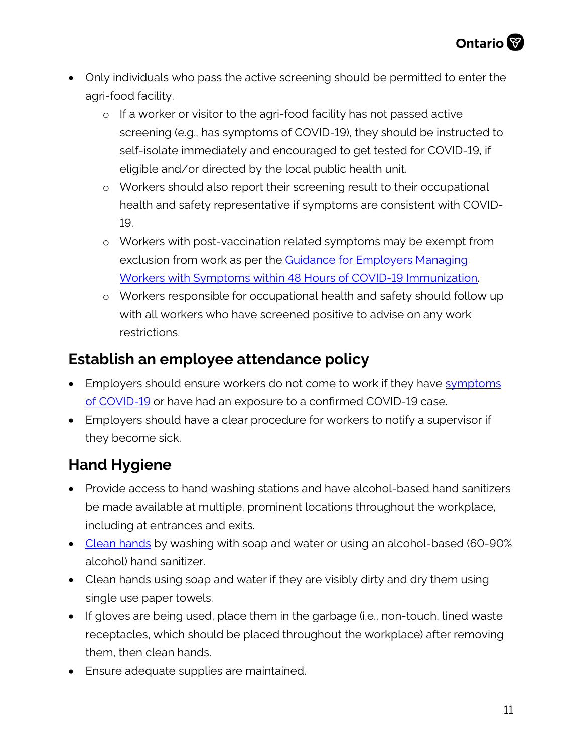- Only individuals who pass the active screening should be permitted to enter the agri-food facility.
	- o If a worker or visitor to the agri-food facility has not passed active screening (e.g., has symptoms of COVID-19), they should be instructed to self-isolate immediately and encouraged to get tested for COVID-19, if eligible and/or directed by the local public health unit.
	- o Workers should also report their screening result to their occupational health and safety representative if symptoms are consistent with COVID-19.
	- o Workers with post-vaccination related symptoms may be exempt from exclusion from work as per the [Guidance for Employers Managing](https://www.health.gov.on.ca/en/pro/programs/publichealth/coronavirus/docs/guidance_for_screening_vaccinated_individuals.pdf)  [Workers with Symptoms within 48 Hours of COVID-19 Immunization.](https://www.health.gov.on.ca/en/pro/programs/publichealth/coronavirus/docs/guidance_for_screening_vaccinated_individuals.pdf)
	- o Workers responsible for occupational health and safety should follow up with all workers who have screened positive to advise on any work restrictions.

#### **Establish an employee attendance policy**

- Employers should ensure workers do not come to work if they have symptoms [of COVID-19](https://www.health.gov.on.ca/en/pro/programs/publichealth/coronavirus/docs/2019_reference_doc_symptoms.pdf) or have had an exposure to a confirmed COVID-19 case.
- Employers should have a clear procedure for workers to notify a supervisor if they become sick.

# **Hand Hygiene**

- Provide access to hand washing stations and have alcohol-based hand sanitizers be made available at multiple, prominent locations throughout the workplace, including at entrances and exits.
- [Clean hands](https://www.publichealthontario.ca/-/media/documents/ncov/factsheet/factsheet-covid-19-hand-hygiene.pdf?la=en) by washing with soap and water or using an alcohol-based (60-90%) alcohol) hand sanitizer.
- Clean hands using soap and water if they are visibly dirty and dry them using single use paper towels.
- If gloves are being used, place them in the garbage (i.e., non-touch, lined waste receptacles, which should be placed throughout the workplace) after removing them, then clean hands.
- Ensure adequate supplies are maintained.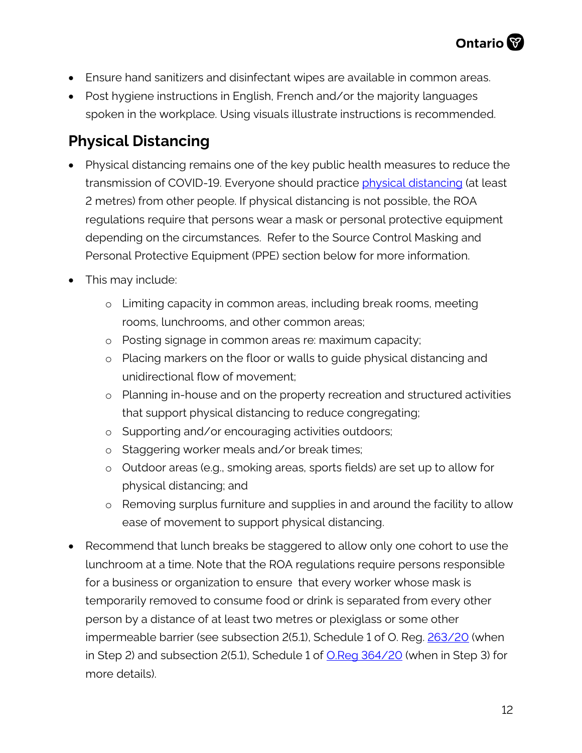- Ensure hand sanitizers and disinfectant wipes are available in common areas.
- Post hygiene instructions in English, French and/or the majority languages spoken in the workplace. Using visuals illustrate instructions is recommended.

## **Physical Distancing**

- Physical distancing remains one of the key public health measures to reduce the transmission of COVID-19. Everyone should practice [physical distancing](https://www.publichealthontario.ca/-/media/documents/ncov/factsheet/factsheet-covid-19-guide-physical-distancing.pdf?la=en) (at least 2 metres) from other people. If physical distancing is not possible, the ROA regulations require that persons wear a mask or personal protective equipment depending on the circumstances. Refer to the Source Control Masking and Personal Protective Equipment (PPE) section below for more information.
- This may include:
	- o Limiting capacity in common areas, including break rooms, meeting rooms, lunchrooms, and other common areas;
	- o Posting signage in common areas re: maximum capacity;
	- o Placing markers on the floor or walls to guide physical distancing and unidirectional flow of movement;
	- o Planning in-house and on the property recreation and structured activities that support physical distancing to reduce congregating;
	- o Supporting and/or encouraging activities outdoors;
	- o Staggering worker meals and/or break times;
	- o Outdoor areas (e.g., smoking areas, sports fields) are set up to allow for physical distancing; and
	- o Removing surplus furniture and supplies in and around the facility to allow ease of movement to support physical distancing.
- Recommend that lunch breaks be staggered to allow only one cohort to use the lunchroom at a time. Note that the ROA regulations require persons responsible for a business or organization to ensure that every worker whose mask is temporarily removed to consume food or drink is separated from every other person by a distance of at least two metres or plexiglass or some other impermeable barrier (see subsection 2(5.1), Schedule 1 of O. Reg. [263/20](https://www.ontario.ca/laws/regulation/200263) (when in Step 2) and subsection 2(5.1), Schedule 1 of [O.Reg 364/20](https://www.ontario.ca/laws/regulation/200364) (when in Step 3) for more details).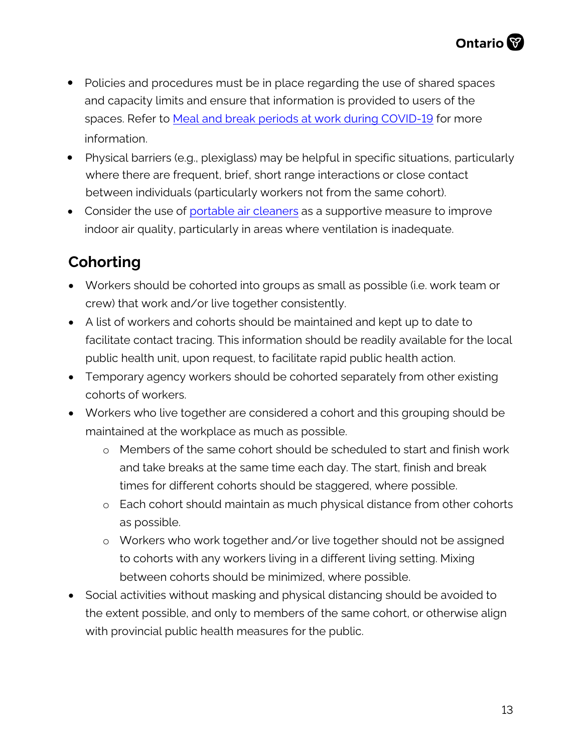- Policies and procedures must be in place regarding the use of shared spaces and capacity limits and ensure that information is provided to users of the spaces. Refer to [Meal and break periods at work during COVID-19 f](https://www.ontario.ca/page/meal-and-break-periods-work-during-covid-19)or more information.
- Physical barriers (e.g., plexiglass) may be helpful in specific situations, particularly where there are frequent, brief, short range interactions or close contact between individuals (particularly workers not from the same cohort).
- Consider the use of [portable air](https://www.publichealthontario.ca/-/media/documents/ncov/ipac/2021/01/faq-covid-19-portable-air-cleaners.pdf?la=en) cleaners as a supportive measure to improve indoor air quality, particularly in areas where ventilation is inadequate.

# **Cohorting**

- Workers should be cohorted into groups as small as possible (i.e. work team or crew) that work and/or live together consistently.
- A list of workers and cohorts should be maintained and kept up to date to facilitate contact tracing. This information should be readily available for the local public health unit, upon request, to facilitate rapid public health action.
- Temporary agency workers should be cohorted separately from other existing cohorts of workers.
- Workers who live together are considered a cohort and this grouping should be maintained at the workplace as much as possible.
	- o Members of the same cohort should be scheduled to start and finish work and take breaks at the same time each day. The start, finish and break times for different cohorts should be staggered, where possible.
	- o Each cohort should maintain as much physical distance from other cohorts as possible.
	- o Workers who work together and/or live together should not be assigned to cohorts with any workers living in a different living setting. Mixing between cohorts should be minimized, where possible.
- Social activities without masking and physical distancing should be avoided to the extent possible, and only to members of the same cohort, or otherwise align with provincial public health measures for the public.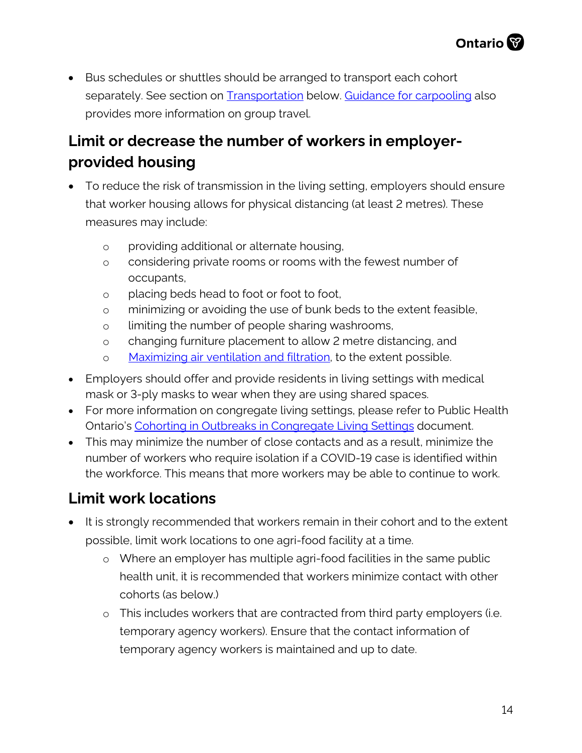

• Bus schedules or shuttles should be arranged to transport each cohort separately. See section on [Transportation](#page-18-0) below. [Guidance for carpooling](https://agriculture.canada.ca/en/canadas-agriculture-sectors/covid-19-information-agriculture-and-agri-food-industry/workplace-guidance#car) also provides more information on group travel.

# **Limit or decrease the number of workers in employerprovided housing**

- To reduce the risk of transmission in the living setting, employers should ensure that worker housing allows for physical distancing (at least 2 metres). These measures may include:
	- o providing additional or alternate housing,
	- o considering private rooms or rooms with the fewest number of occupants,
	- o placing beds head to foot or foot to foot,
	- o minimizing or avoiding the use of bunk beds to the extent feasible,
	- o limiting the number of people sharing washrooms,
	- o changing furniture placement to allow 2 metre distancing, and
	- o Maximizing [air ventilation and filtration,](https://www.publichealthontario.ca/-/media/documents/ncov/ipac/2021/01/faq-covid-19-portable-air-cleaners.pdf?la=en) to the extent possible.
- Employers should offer and provide residents in living settings with medical mask or 3-ply masks to wear when they are using shared spaces.
- For more information on congregate living settings, please refer to Public Health Ontario's [Cohorting in Outbreaks in Congregate Living Settings](https://www.publichealthontario.ca/-/media/documents/ncov/cong/2020/06/focus-on-cohorting-outbreaks-congregate-living-settings.pdf?la=en) document.
- This may minimize the number of close contacts and as a result, minimize the number of workers who require isolation if a COVID-19 case is identified within the workforce. This means that more workers may be able to continue to work.

## **Limit work locations**

- It is strongly recommended that workers remain in their cohort and to the extent possible, limit work locations to one agri-food facility at a time.
	- o Where an employer has multiple agri-food facilities in the same public health unit, it is recommended that workers minimize contact with other cohorts (as below.)
	- o This includes workers that are contracted from third party employers (i.e. temporary agency workers). Ensure that the contact information of temporary agency workers is maintained and up to date.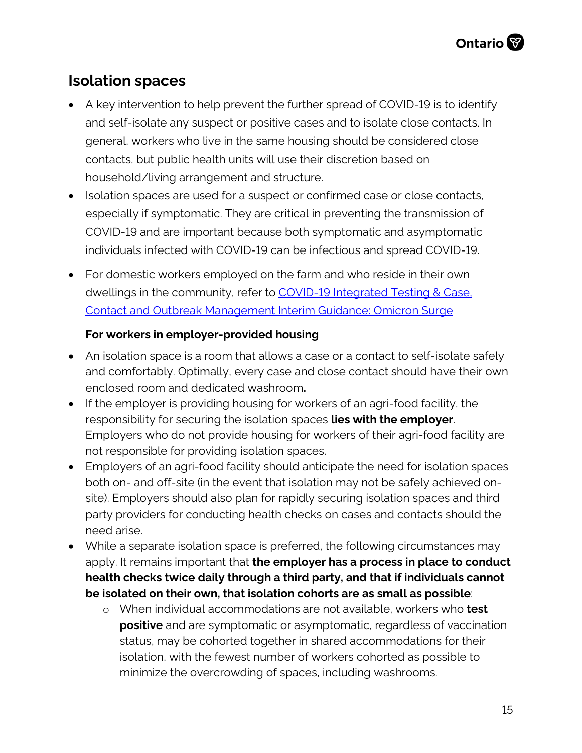#### **Isolation spaces**

- A key intervention to help prevent the further spread of COVID-19 is to identify and self-isolate any suspect or positive cases and to isolate close contacts. In general, workers who live in the same housing should be considered close contacts, but public health units will use their discretion based on household/living arrangement and structure.
- Isolation spaces are used for a suspect or confirmed case or close contacts, especially if symptomatic. They are critical in preventing the transmission of COVID-19 and are important because both symptomatic and asymptomatic individuals infected with COVID-19 can be infectious and spread COVID-19.
- For domestic workers employed on the farm and who reside in their own dwellings in the community, refer to COVID-19 Integrated Testing & Case. [Contact and Outbreak Management Interim Guidance: Omicron Surge](https://www.health.gov.on.ca/en/pro/programs/publichealth/coronavirus/docs/contact_mngmt/management_cases_contacts_omicron.pdf)

#### **For workers in employer-provided housing**

- An isolation space is a room that allows a case or a contact to self-isolate safely and comfortably. Optimally, every case and close contact should have their own enclosed room and dedicated washroom**.**
- If the employer is providing housing for workers of an agri-food facility, the responsibility for securing the isolation spaces **lies with the employer**. Employers who do not provide housing for workers of their agri-food facility are not responsible for providing isolation spaces.
- Employers of an agri-food facility should anticipate the need for isolation spaces both on- and off-site (in the event that isolation may not be safely achieved onsite). Employers should also plan for rapidly securing isolation spaces and third party providers for conducting health checks on cases and contacts should the need arise.
- While a separate isolation space is preferred, the following circumstances may apply. It remains important that **the employer has a process in place to conduct health checks twice daily through a third party, and that if individuals cannot be isolated on their own, that isolation cohorts are as small as possible**:
	- o When individual accommodations are not available, workers who **test positive** and are symptomatic or asymptomatic, regardless of vaccination status, may be cohorted together in shared accommodations for their isolation, with the fewest number of workers cohorted as possible to minimize the overcrowding of spaces, including washrooms.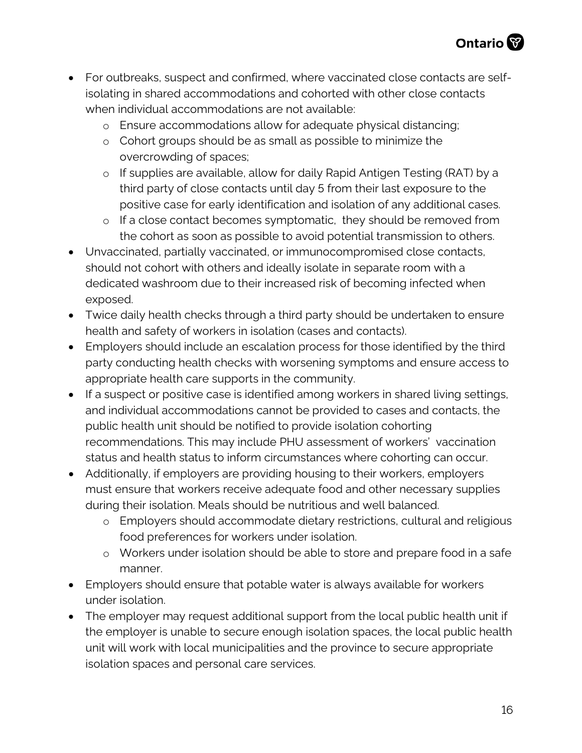- For outbreaks, suspect and confirmed, where vaccinated close contacts are selfisolating in shared accommodations and cohorted with other close contacts when individual accommodations are not available:
	- o Ensure accommodations allow for adequate physical distancing;
	- o Cohort groups should be as small as possible to minimize the overcrowding of spaces;
	- o If supplies are available, allow for daily Rapid Antigen Testing (RAT) by a third party of close contacts until day 5 from their last exposure to the positive case for early identification and isolation of any additional cases.
	- o If a close contact becomes symptomatic, they should be removed from the cohort as soon as possible to avoid potential transmission to others.
- Unvaccinated, partially vaccinated, or immunocompromised close contacts, should not cohort with others and ideally isolate in separate room with a dedicated washroom due to their increased risk of becoming infected when exposed.
- Twice daily health checks through a third party should be undertaken to ensure health and safety of workers in isolation (cases and contacts).
- Employers should include an escalation process for those identified by the third party conducting health checks with worsening symptoms and ensure access to appropriate health care supports in the community.
- If a suspect or positive case is identified among workers in shared living settings, and individual accommodations cannot be provided to cases and contacts, the public health unit should be notified to provide isolation cohorting recommendations. This may include PHU assessment of workers' vaccination status and health status to inform circumstances where cohorting can occur.
- Additionally, if employers are providing housing to their workers, employers must ensure that workers receive adequate food and other necessary supplies during their isolation. Meals should be nutritious and well balanced.
	- o Employers should accommodate dietary restrictions, cultural and religious food preferences for workers under isolation.
	- o Workers under isolation should be able to store and prepare food in a safe manner.
- Employers should ensure that potable water is always available for workers under isolation.
- The employer may request additional support from the local public health unit if the employer is unable to secure enough isolation spaces, the local public health unit will work with local municipalities and the province to secure appropriate isolation spaces and personal care services.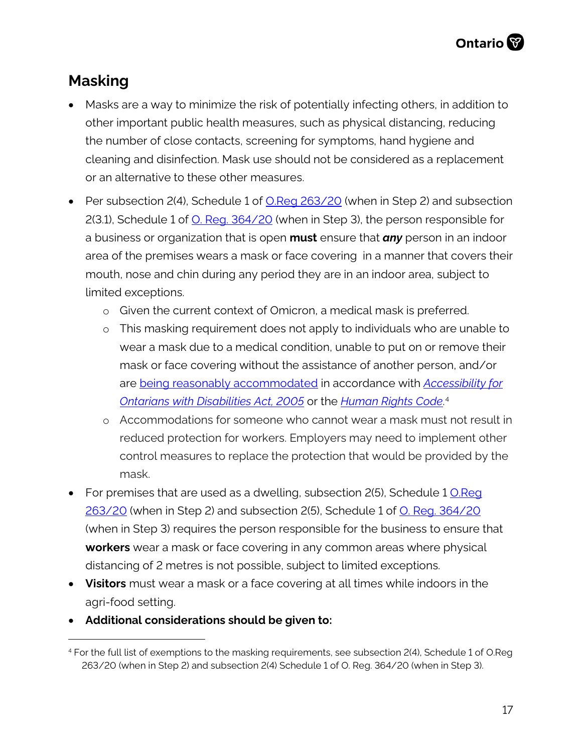# **Masking**

- Masks are a way to minimize the risk of potentially infecting others, in addition to other important public health measures, such as physical distancing, reducing the number of close contacts, screening for symptoms, hand hygiene and cleaning and disinfection. Mask use should not be considered as a replacement or an alternative to these other measures.
- Per subsection 2(4), Schedule 1 of [O.Reg 263/20](https://www.ontario.ca/laws/regulation/200263) (when in Step 2) and subsection 2(3.1), Schedule 1 of [O. Reg. 364/20](https://www.ontario.ca/laws/regulation/200364) (when in Step 3), the person responsible for a business or organization that is open **must** ensure that *any* person in an indoor area of the premises wears a mask or face covering in a manner that covers their mouth, nose and chin during any period they are in an indoor area, subject to limited exceptions.
	- o Given the current context of Omicron, a medical mask is preferred.
	- o This masking requirement does not apply to individuals who are unable to wear a mask due to a medical condition, unable to put on or remove their mask or face covering without the assistance of another person, and/or are [being reasonably accommodated](https://www.ontario.ca/page/using-masks-workplace) in accordance with *[Accessibility for](https://www.ontario.ca/laws/statute/05a11)  [Ontarians with Disabilities Act, 2005](https://www.ontario.ca/laws/statute/05a11)* or the *[Human Rights Code](http://www.ohrc.on.ca/en/ontario-human-rights-code)*. [4](#page-16-0)
	- o Accommodations for someone who cannot wear a mask must not result in reduced protection for workers. Employers may need to implement other control measures to replace the protection that would be provided by the mask.
- For premises that are used as a dwelling, subsection 2(5), Schedule 1 O.Reg [263/20](https://www.ontario.ca/laws/regulation/200263) (when in Step 2) and subsection 2(5), Schedule 1 of [O. Reg. 364/20](https://www.ontario.ca/laws/regulation/200364) (when in Step 3) requires the person responsible for the business to ensure that **workers** wear a mask or face covering in any common areas where physical distancing of 2 metres is not possible, subject to limited exceptions.
- **Visitors** must wear a mask or a face covering at all times while indoors in the agri-food setting.
- **Additional considerations should be given to:**

<span id="page-16-0"></span><sup>4</sup> For the full list of exemptions to the masking requirements, see subsection 2(4), Schedule 1 of O.Reg 263/20 (when in Step 2) and subsection 2(4) Schedule 1 of O. Reg. 364/20 (when in Step 3).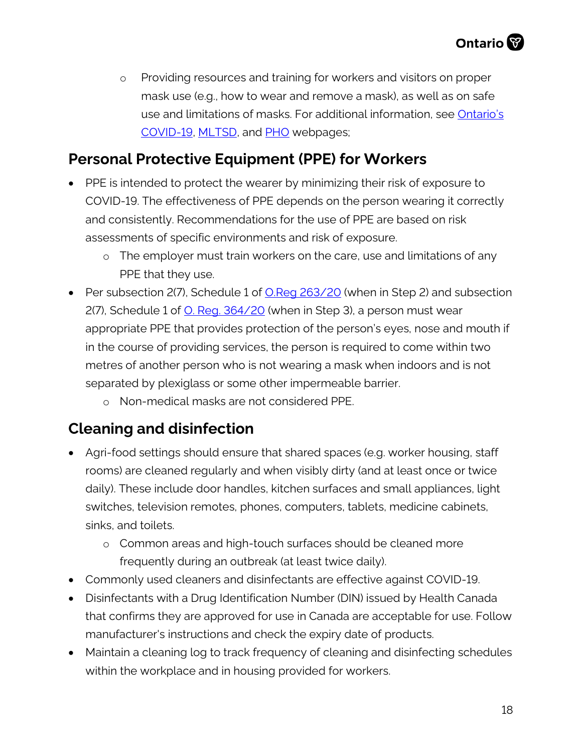o Providing resources and training for workers and visitors on proper mask use (e.g., how to wear and remove a mask), as well as on safe use and limitations of masks. For additional information, see Ontario's [COVID-19,](https://www.ontario.ca/page/face-coverings-and-face-masks) [MLTSD,](https://www.ontario.ca/page/using-masks-workplace) and [PHO](https://www.publichealthontario.ca/-/media/documents/ncov/factsheet/2020/05/factsheet-covid-19-non-medical-masks.pdf?la=en) webpages;

#### **Personal Protective Equipment (PPE) for Workers**

- PPE is intended to protect the wearer by minimizing their risk of exposure to COVID-19. The effectiveness of PPE depends on the person wearing it correctly and consistently. Recommendations for the use of PPE are based on risk assessments of specific environments and risk of exposure.
	- o The employer must train workers on the care, use and limitations of any PPE that they use.
- Per subsection 2(7), Schedule 1 of **O.Reg 263/20** (when in Step 2) and subsection 2(7), Schedule 1 of [O. Reg. 364/20](https://www.ontario.ca/laws/regulation/200364) (when in Step 3), a person must wear appropriate PPE that provides protection of the person's eyes, nose and mouth if in the course of providing services, the person is required to come within two metres of another person who is not wearing a mask when indoors and is not separated by plexiglass or some other impermeable barrier.
	- o Non-medical masks are not considered PPE.

## **Cleaning and disinfection**

- Agri-food settings should ensure that shared spaces (e.g. worker housing, staff rooms) are cleaned regularly and when visibly dirty (and at least once or twice daily). These include door handles, kitchen surfaces and small appliances, light switches, television remotes, phones, computers, tablets, medicine cabinets, sinks, and toilets.
	- o Common areas and high-touch surfaces should be cleaned more frequently during an outbreak (at least twice daily).
- Commonly used cleaners and disinfectants are effective against COVID-19.
- Disinfectants with a Drug Identification Number (DIN) issued by Health Canada that confirms they are approved for use in Canada are acceptable for use. Follow manufacturer's instructions and check the expiry date of products.
- Maintain a cleaning log to track frequency of cleaning and disinfecting schedules within the workplace and in housing provided for workers.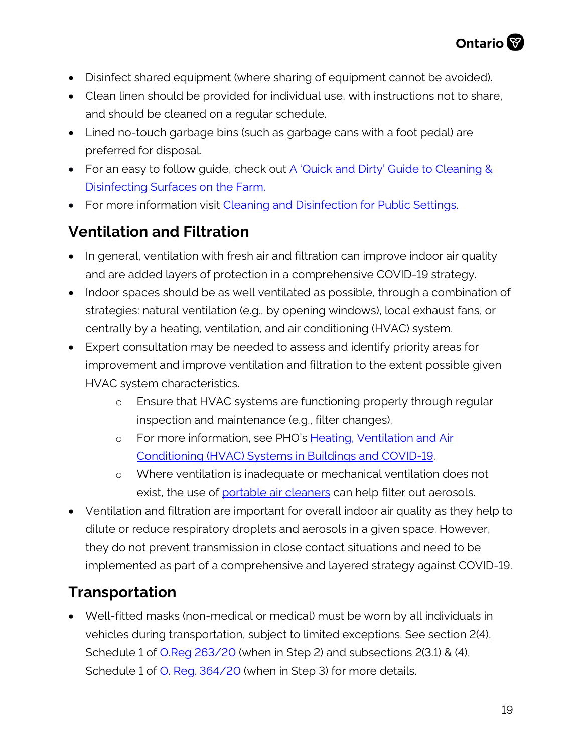- Disinfect shared equipment (where sharing of equipment cannot be avoided).
- Clean linen should be provided for individual use, with instructions not to share, and should be cleaned on a regular schedule.
- Lined no-touch garbage bins (such as garbage cans with a foot pedal) are preferred for disposal.
- For an easy to follow guide, check out [A 'Quick and Dirty' Guide to Cleaning &](https://www.nycamh.org/media/photos/0521/5_clean_disinfect_wip_no_color.jpg)  [Disinfecting Surfaces on the Farm.](https://www.nycamh.org/media/photos/0521/5_clean_disinfect_wip_no_color.jpg)
- For more information visit [Cleaning and Disinfection for Public Settings.](https://www.publichealthontario.ca/-/media/documents/ncov/factsheet-covid-19-environmental-cleaning.pdf?la=en)

# **Ventilation and Filtration**

- In general, ventilation with fresh air and filtration can improve indoor air quality and are added layers of protection in a comprehensive COVID-19 strategy.
- Indoor spaces should be as well ventilated as possible, through a combination of strategies: natural ventilation (e.g., by opening windows), local exhaust fans, or centrally by a heating, ventilation, and air conditioning (HVAC) system.
- Expert consultation may be needed to assess and identify priority areas for improvement and improve ventilation and filtration to the extent possible given HVAC system characteristics.
	- o Ensure that HVAC systems are functioning properly through regular inspection and maintenance (e.g., filter changes).
	- o For more information, see PHO's Heating, Ventilation and Air [Conditioning \(HVAC\) Systems in Buildings and COVID-19.](https://www.publichealthontario.ca/-/media/documents/ncov/ipac/2020/09/covid-19-hvac-systems-in-buildings.pdf?la=en)
	- o Where ventilation is inadequate or mechanical ventilation does not exist, the use of [portable air cleaners](https://www.publichealthontario.ca/-/media/documents/ncov/ipac/2021/01/faq-covid-19-portable-air-cleaners.pdf?la=en) can help filter out aerosols.
- Ventilation and filtration are important for overall indoor air quality as they help to dilute or reduce respiratory droplets and aerosols in a given space. However, they do not prevent transmission in close contact situations and need to be implemented as part of a comprehensive and layered strategy against COVID-19.

# <span id="page-18-0"></span>**Transportation**

• Well-fitted masks (non-medical or medical) must be worn by all individuals in vehicles during transportation, subject to limited exceptions. See section 2(4), Schedule 1 of [O.Reg 263/20](https://www.ontario.ca/laws/regulation/200263) (when in Step 2) and subsections 2(3.1) & (4), Schedule 1 of [O. Reg. 364/20](https://www.ontario.ca/laws/regulation/200364) (when in Step 3) for more details.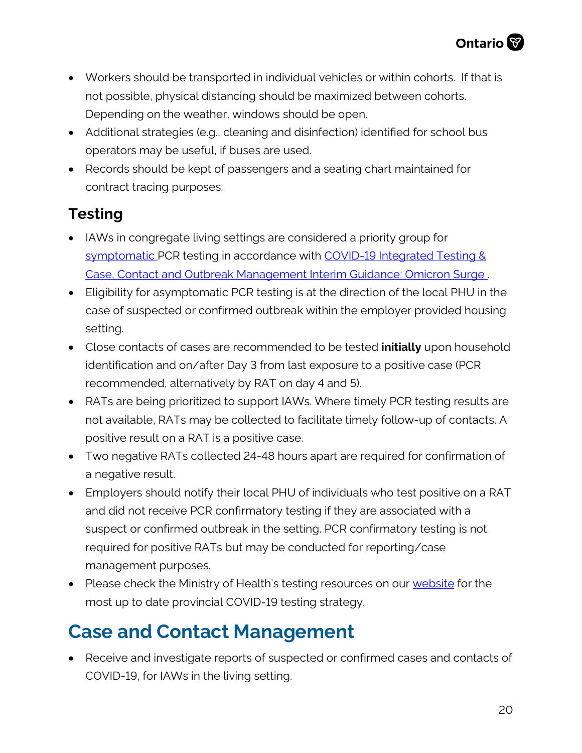- Workers should be transported in individual vehicles or within cohorts. If that is not possible, physical distancing should be maximized between cohorts. Depending on the weather, windows should be open.
- Additional strategies (e.g., cleaning and disinfection) identified for school bus operators may be useful, if buses are used.
- Records should be kept of passengers and a seating chart maintained for contract tracing purposes.

## **Testing**

- IAWs in congregate living settings are considered a priority group for [symptomatic](https://www.health.gov.on.ca/en/pro/programs/publichealth/coronavirus/docs/2019_reference_doc_symptoms.pdf) PCR testing in accordance with COVID-19 Integrated Testing & [Case, Contact and Outbreak Management Interim Guidance: Omicron Surge](https://www.health.gov.on.ca/en/pro/programs/publichealth/coronavirus/docs/contact_mngmt/management_cases_contacts_omicron.pdf) .
- Eligibility for asymptomatic PCR testing is at the direction of the local PHU in the case of suspected or confirmed outbreak within the employer provided housing setting.
- Close contacts of cases are recommended to be tested **initially** upon household identification and on/after Day 3 from last exposure to a positive case (PCR recommended, alternatively by RAT on day 4 and 5).
- RATs are being prioritized to support IAWs. Where timely PCR testing results are not available, RATs may be collected to facilitate timely follow-up of contacts. A positive result on a RAT is a positive case.
- Two negative RATs collected 24-48 hours apart are required for confirmation of a negative result.
- Employers should notify their local PHU of individuals who test positive on a RAT and did not receive PCR confirmatory testing if they are associated with a suspect or confirmed outbreak in the setting. PCR confirmatory testing is not required for positive RATs but may be conducted for reporting/case management purposes.
- Please check the Ministry of Health's testing resources on our [website](http://www.health.gov.on.ca/en/pro/programs/publichealth/coronavirus/2019_guidance.aspx#symptoms) for the most up to date provincial COVID-19 testing strategy.

# **Case and Contact Management**

• Receive and investigate reports of suspected or confirmed cases and contacts of COVID-19, for IAWs in the living setting.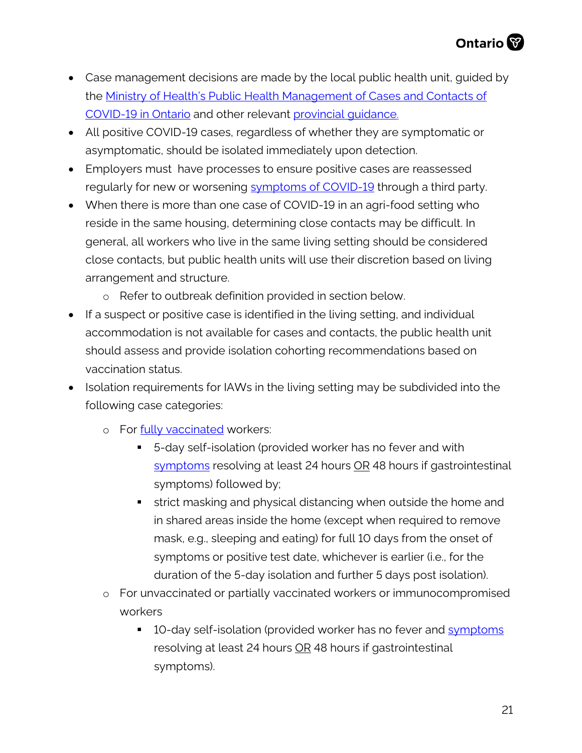- Case management decisions are made by the local public health unit, guided by the [Ministry of Health's Public Health Management of Cases and Contacts of](http://www.health.gov.on.ca/en/pro/programs/publichealth/coronavirus/docs/contact_mngmt/management_cases_contacts.pdf)  [COVID-19 in Ontario](http://www.health.gov.on.ca/en/pro/programs/publichealth/coronavirus/docs/contact_mngmt/management_cases_contacts.pdf) and other relevant [provincial guidance.](https://www.health.gov.on.ca/en/pro/programs/publichealth/coronavirus/2019_guidance.aspx)
- All positive COVID-19 cases, regardless of whether they are symptomatic or asymptomatic, should be isolated immediately upon detection.
- Employers must have processes to ensure positive cases are reassessed regularly for new or worsening [symptoms of COVID-19](http://www.health.gov.on.ca/en/pro/programs/publichealth/coronavirus/docs/2019_reference_doc_symptoms.pdf) through a third party.
- When there is more than one case of COVID-19 in an agri-food setting who reside in the same housing, determining close contacts may be difficult. In general, all workers who live in the same living setting should be considered close contacts, but public health units will use their discretion based on living arrangement and structure.
	- o Refer to outbreak definition provided in section below.
- If a suspect or positive case is identified in the living setting, and individual accommodation is not available for cases and contacts, the public health unit should assess and provide isolation cohorting recommendations based on vaccination status.
- Isolation requirements for IAWs in the living setting may be subdivided into the following case categories:
	- o For [fully vaccinated](https://www.health.gov.on.ca/en/pro/programs/publichealth/coronavirus/docs/contact_mngmt/COVID-19_fully_vaccinated_interim_guidance.pdf) workers:
		- 5-day self-isolation (provided worker has no fever and with [symptoms](https://www.health.gov.on.ca/en/pro/programs/publichealth/coronavirus/docs/2019_reference_doc_symptoms.pdf) resolving at least 24 hours OR 48 hours if gastrointestinal symptoms) followed by;
		- **strict masking and physical distancing when outside the home and** in shared areas inside the home (except when required to remove mask, e.g., sleeping and eating) for full 10 days from the onset of symptoms or positive test date, whichever is earlier (i.e., for the duration of the 5-day isolation and further 5 days post isolation).
	- o For unvaccinated or partially vaccinated workers or immunocompromised workers
		- 10-day self-isolation (provided worker has no fever and [symptoms](https://www.health.gov.on.ca/en/pro/programs/publichealth/coronavirus/docs/2019_reference_doc_symptoms.pdf) resolving at least 24 hours OR 48 hours if gastrointestinal symptoms).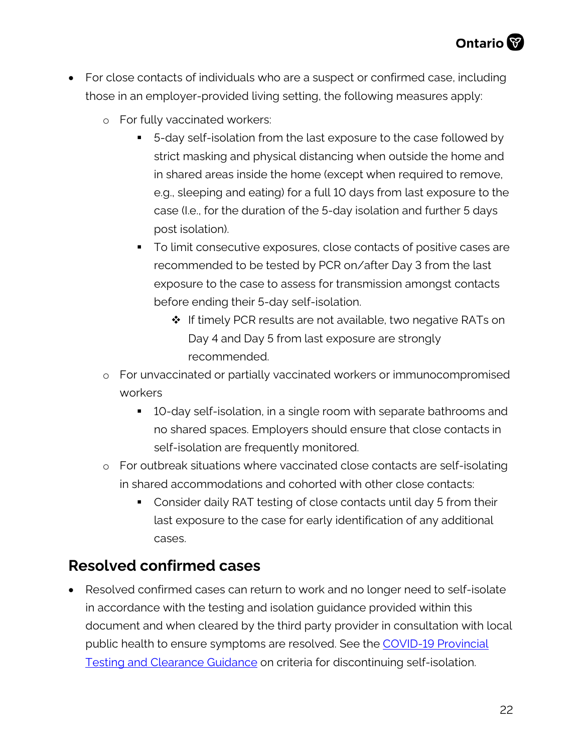- For close contacts of individuals who are a suspect or confirmed case, including those in an employer-provided living setting, the following measures apply:
	- o For fully vaccinated workers:
		- 5-day self-isolation from the last exposure to the case followed by strict masking and physical distancing when outside the home and in shared areas inside the home (except when required to remove, e.g., sleeping and eating) for a full 10 days from last exposure to the case (I.e., for the duration of the 5-day isolation and further 5 days post isolation).
		- To limit consecutive exposures, close contacts of positive cases are recommended to be tested by PCR on/after Day 3 from the last exposure to the case to assess for transmission amongst contacts before ending their 5-day self-isolation.
			- $\cdot$  If timely PCR results are not available, two negative RATs on Day 4 and Day 5 from last exposure are strongly recommended.
	- o For unvaccinated or partially vaccinated workers or immunocompromised workers
		- 10-day self-isolation, in a single room with separate bathrooms and no shared spaces. Employers should ensure that close contacts in self-isolation are frequently monitored.
	- o For outbreak situations where vaccinated close contacts are self-isolating in shared accommodations and cohorted with other close contacts:
		- Consider daily RAT testing of close contacts until day 5 from their last exposure to the case for early identification of any additional cases.

#### **Resolved confirmed cases**

• Resolved confirmed cases can return to work and no longer need to self-isolate in accordance with the testing and isolation guidance provided within this document and when cleared by the third party provider in consultation with local public health to ensure symptoms are resolved. See the [COVID-19 Provincial](https://www.health.gov.on.ca/en/pro/programs/publichealth/coronavirus/docs/2019_testing_guidance.pdf)  [Testing and Clearance Guidance](https://www.health.gov.on.ca/en/pro/programs/publichealth/coronavirus/docs/2019_testing_guidance.pdf) on criteria for discontinuing self-isolation.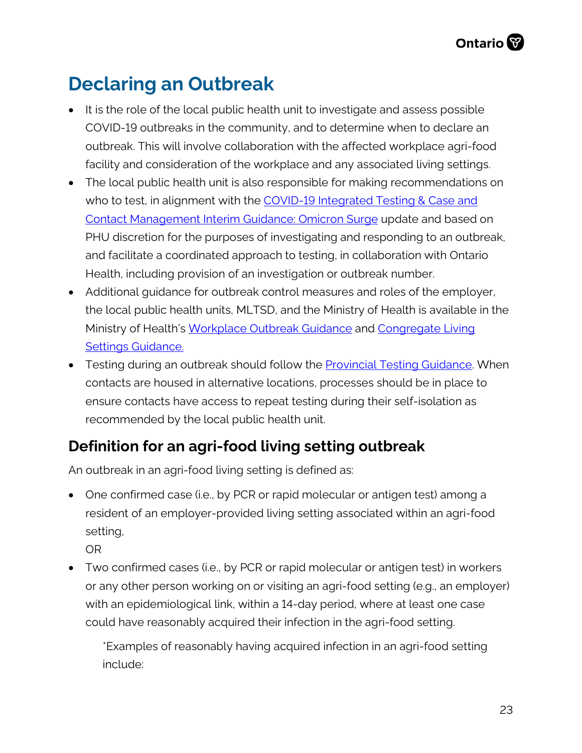# **Declaring an Outbreak**

- It is the role of the local public health unit to investigate and assess possible COVID-19 outbreaks in the community, and to determine when to declare an outbreak. This will involve collaboration with the affected workplace agri-food facility and consideration of the workplace and any associated living settings.
- The local public health unit is also responsible for making recommendations on who to test, in alignment with the COVID-19 Integrated Testing & Case and [Contact Management Interim Guidance: Omicron Surge](https://www.health.gov.on.ca/en/pro/programs/publichealth/coronavirus/docs/contact_mngmt/management_cases_contacts_omicron.pdf) update and based on PHU discretion for the purposes of investigating and responding to an outbreak, and facilitate a coordinated approach to testing, in collaboration with Ontario Health, including provision of an investigation or outbreak number.
- Additional guidance for outbreak control measures and roles of the employer, the local public health units, MLTSD, and the Ministry of Health is available in the Ministry of Health's [Workplace Outbreak Guidance](http://www.health.gov.on.ca/en/pro/programs/publichealth/coronavirus/docs/2019_workplace_outbreak_guidance.pdf) and Congregate Living [Settings Guidance.](http://www.health.gov.on.ca/en/pro/programs/publichealth/coronavirus/docs/2019_congregate_living_guidance.pdf)
- Testing during an outbreak should follow the **Provincial Testing Guidance**. When contacts are housed in alternative locations, processes should be in place to ensure contacts have access to repeat testing during their self-isolation as recommended by the local public health unit.

#### **Definition for an agri-food living setting outbreak**

An outbreak in an agri-food living setting is defined as:

- One confirmed case (i.e., by PCR or rapid molecular or antigen test) among a resident of an employer-provided living setting associated within an agri-food setting,
	- OR
- Two confirmed cases (i.e., by PCR or rapid molecular or antigen test) in workers or any other person working on or visiting an agri-food setting (e.g., an employer) with an epidemiological link, within a 14-day period, where at least one case could have reasonably acquired their infection in the agri-food setting.

\*Examples of reasonably having acquired infection in an agri-food setting include: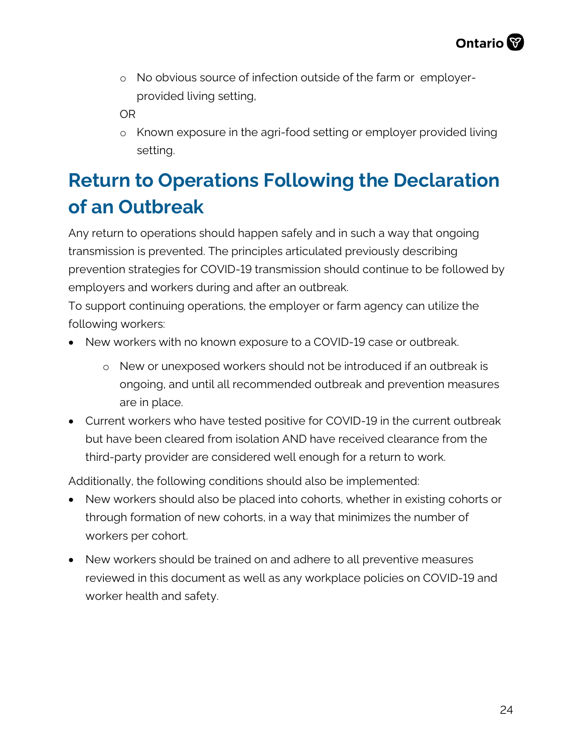o No obvious source of infection outside of the farm or employerprovided living setting,

OR

o Known exposure in the agri-food setting or employer provided living setting.

# **Return to Operations Following the Declaration of an Outbreak**

Any return to operations should happen safely and in such a way that ongoing transmission is prevented. The principles articulated previously describing prevention strategies for COVID-19 transmission should continue to be followed by employers and workers during and after an outbreak.

To support continuing operations, the employer or farm agency can utilize the following workers:

- New workers with no known exposure to a COVID-19 case or outbreak.
	- o New or unexposed workers should not be introduced if an outbreak is ongoing, and until all recommended outbreak and prevention measures are in place.
- Current workers who have tested positive for COVID-19 in the current outbreak but have been cleared from isolation AND have received clearance from the third-party provider are considered well enough for a return to work.

Additionally, the following conditions should also be implemented:

- New workers should also be placed into cohorts, whether in existing cohorts or through formation of new cohorts, in a way that minimizes the number of workers per cohort.
- New workers should be trained on and adhere to all preventive measures reviewed in this document as well as any workplace policies on COVID-19 and worker health and safety.